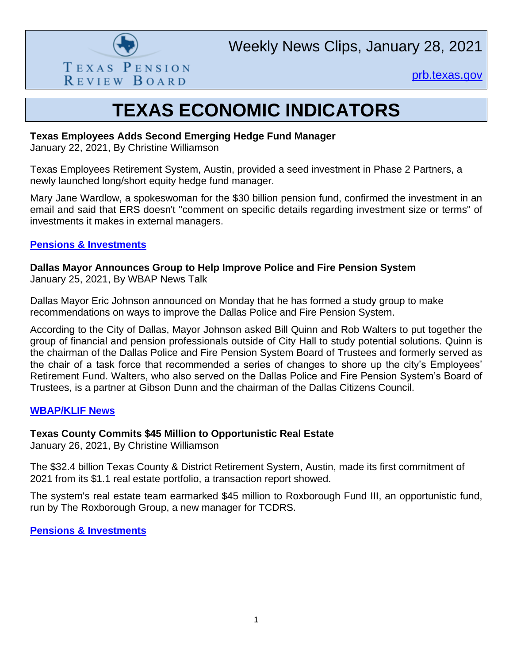

Weekly News Clips, January 28, 2021

[prb.texas.gov](http://www.prb.texas.gov/)

## **TEXAS ECONOMIC INDICATORS**

#### **Texas Employees Adds Second Emerging Hedge Fund Manager**

January 22, 2021, By Christine Williamson

Texas Employees Retirement System, Austin, provided a seed investment in Phase 2 Partners, a newly launched long/short equity hedge fund manager.

Mary Jane Wardlow, a spokeswoman for the \$30 billion pension fund, confirmed the investment in an email and said that ERS doesn't "comment on specific details regarding investment size or terms" of investments it makes in external managers.

## **[Pensions & Investments](https://www.pionline.com/searches-and-hires/texas-employees-adds-second-emerging-hedge-fund-manager?adobe_mc=MCMID%3D90961294301856047154372456233413469814%7CMCORGID%3D138FFF2554E6E7220A4C98C6%2540AdobeOrg%7CTS%3D1611849858&CSAuthResp=1%3A%3A413596%3A391%3A24%3Asuccess%3AD4AC37EBB7393231ED4212BD09CBD20A)**

**Dallas Mayor Announces Group to Help Improve Police and Fire Pension System** January 25, 2021, By WBAP News Talk

Dallas Mayor Eric Johnson announced on Monday that he has formed a study group to make recommendations on ways to improve the Dallas Police and Fire Pension System.

According to the City of Dallas, Mayor Johnson asked Bill Quinn and Rob Walters to put together the group of financial and pension professionals outside of City Hall to study potential solutions. Quinn is the chairman of the Dallas Police and Fire Pension System Board of Trustees and formerly served as the chair of a task force that recommended a series of changes to shore up the city's Employees' Retirement Fund. Walters, who also served on the Dallas Police and Fire Pension System's Board of Trustees, is a partner at Gibson Dunn and the chairman of the Dallas Citizens Council.

## **[WBAP/KLIF News](https://www.wbap.com/2021/01/25/dallas-mayor-announces-group-to-help-improve-police-and-fire-pension-system/)**

## **Texas County Commits \$45 Million to Opportunistic Real Estate**

January 26, 2021, By Christine Williamson

The \$32.4 billion Texas County & District Retirement System, Austin, made its first commitment of 2021 from its \$1.1 real estate portfolio, a transaction report showed.

The system's real estate team earmarked \$45 million to Roxborough Fund III, an opportunistic fund, run by The Roxborough Group, a new manager for TCDRS.

## **[Pensions & Investments](https://www.pionline.com/searches-and-hires/texas-county-commits-45-million-opportunistic-real-estate)**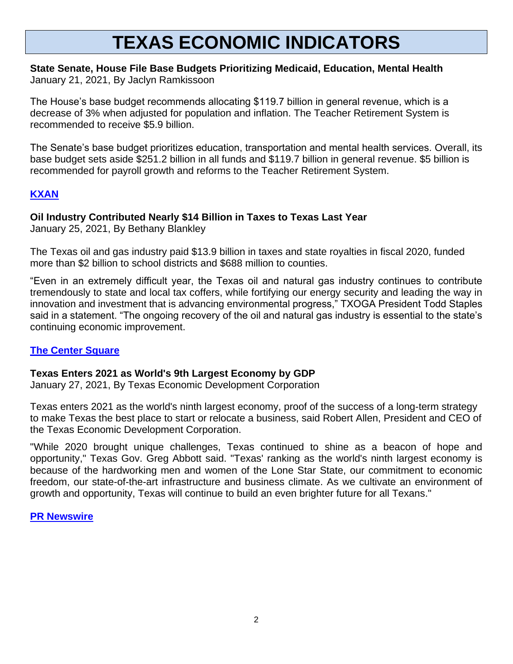# **TEXAS ECONOMIC INDICATORS**

#### **State Senate, House File Base Budgets Prioritizing Medicaid, Education, Mental Health** January 21, 2021, By Jaclyn Ramkissoon

The House's base budget recommends allocating \$119.7 billion in general revenue, which is a decrease of 3% when adjusted for population and inflation. The Teacher Retirement System is recommended to receive \$5.9 billion.

The Senate's base budget prioritizes education, transportation and mental health services. Overall, its base budget sets aside \$251.2 billion in all funds and \$119.7 billion in general revenue. \$5 billion is recommended for payroll growth and reforms to the Teacher Retirement System.

## **[KXAN](https://www.kxan.com/news/texas-politics/state-senate-house-file-base-budgets-prioritizing-medicaid-education-mental-health/)**

## **Oil Industry Contributed Nearly \$14 Billion in Taxes to Texas Last Year**

January 25, 2021, By Bethany Blankley

The Texas oil and gas industry paid \$13.9 billion in taxes and state royalties in fiscal 2020, funded more than \$2 billion to school districts and \$688 million to counties.

"Even in an extremely difficult year, the Texas oil and natural gas industry continues to contribute tremendously to state and local tax coffers, while fortifying our energy security and leading the way in innovation and investment that is advancing environmental progress," TXOGA President Todd Staples said in a statement. "The ongoing recovery of the oil and natural gas industry is essential to the state's continuing economic improvement.

## **[The Center Square](https://www.thecentersquare.com/texas/oil-industry-contributed-nearly-14-billion-in-taxes-to-texas-last-year/article_b4a79878-5c35-11eb-9414-1b361d900034.html)**

## **Texas Enters 2021 as World's 9th Largest Economy by GDP**

January 27, 2021, By Texas Economic Development Corporation

Texas enters 2021 as the world's ninth largest economy, proof of the success of a long-term strategy to make Texas the best place to start or relocate a business, said Robert Allen, President and CEO of the Texas Economic Development Corporation.

"While 2020 brought unique challenges, Texas continued to shine as a beacon of hope and opportunity," Texas Gov. Greg Abbott said. "Texas' ranking as the world's ninth largest economy is because of the hardworking men and women of the Lone Star State, our commitment to economic freedom, our state-of-the-art infrastructure and business climate. As we cultivate an environment of growth and opportunity, Texas will continue to build an even brighter future for all Texans."

**[PR Newswire](https://www.prnewswire.com/news-releases/texas-enters-2021-as-worlds-9th-largest-economy-by-gdp-301216400.html)**